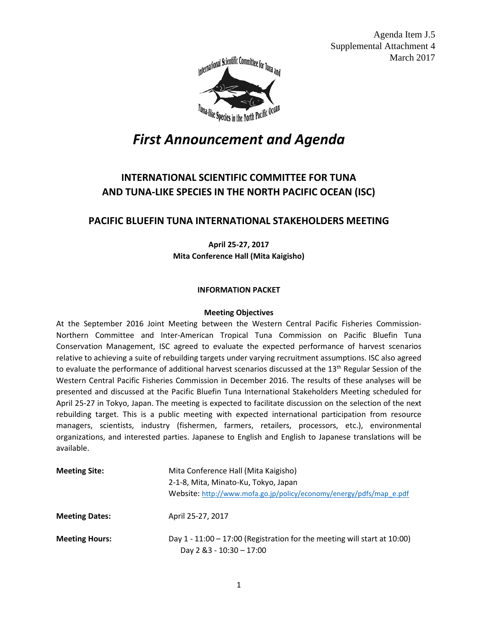Agenda Item J.5 Supplemental Attachment 4 March 2017



## *First Announcement and Agenda*

## **INTERNATIONAL SCIENTIFIC COMMITTEE FOR TUNA AND TUNA-LIKE SPECIES IN THE NORTH PACIFIC OCEAN (ISC)**

## **PACIFIC BLUEFIN TUNA INTERNATIONAL STAKEHOLDERS MEETING**

**April 25-27, 2017 Mita Conference Hall (Mita Kaigisho)**

#### **INFORMATION PACKET**

#### **Meeting Objectives**

At the September 2016 Joint Meeting between the Western Central Pacific Fisheries Commission-Northern Committee and Inter-American Tropical Tuna Commission on Pacific Bluefin Tuna Conservation Management, ISC agreed to evaluate the expected performance of harvest scenarios relative to achieving a suite of rebuilding targets under varying recruitment assumptions. ISC also agreed to evaluate the performance of additional harvest scenarios discussed at the 13<sup>th</sup> Regular Session of the Western Central Pacific Fisheries Commission in December 2016. The results of these analyses will be presented and discussed at the Pacific Bluefin Tuna International Stakeholders Meeting scheduled for April 25-27 in Tokyo, Japan. The meeting is expected to facilitate discussion on the selection of the next rebuilding target. This is a public meeting with expected international participation from resource managers, scientists, industry (fishermen, farmers, retailers, processors, etc.), environmental organizations, and interested parties. Japanese to English and English to Japanese translations will be available.

| <b>Meeting Site:</b>  | Mita Conference Hall (Mita Kaigisho)<br>2-1-8, Mita, Minato-Ku, Tokyo, Japan<br>Website: http://www.mofa.go.jp/policy/economy/energy/pdfs/map_e.pdf |
|-----------------------|-----------------------------------------------------------------------------------------------------------------------------------------------------|
| <b>Meeting Dates:</b> | April 25-27, 2017                                                                                                                                   |
| <b>Meeting Hours:</b> | Day $1 - 11:00 - 17:00$ (Registration for the meeting will start at 10:00)<br>Day 2 & 3 - 10:30 - 17:00                                             |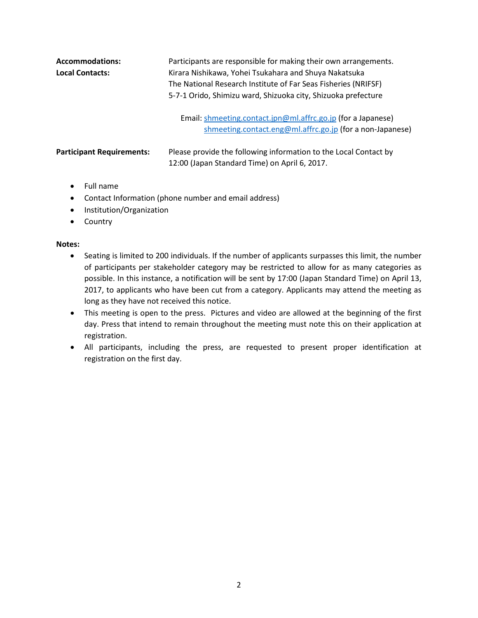| <b>Accommodations:</b><br><b>Local Contacts:</b> | Participants are responsible for making their own arrangements.<br>Kirara Nishikawa, Yohei Tsukahara and Shuya Nakatsuka<br>The National Research Institute of Far Seas Fisheries (NRIFSF)<br>5-7-1 Orido, Shimizu ward, Shizuoka city, Shizuoka prefecture |
|--------------------------------------------------|-------------------------------------------------------------------------------------------------------------------------------------------------------------------------------------------------------------------------------------------------------------|
|                                                  | Email: shmeeting.contact.jpn@ml.affrc.go.jp (for a Japanese)<br>shmeeting.contact.eng@ml.affrc.go.jp (for a non-Japanese)                                                                                                                                   |
| <b>Participant Requirements:</b>                 | Please provide the following information to the Local Contact by<br>12:00 (Japan Standard Time) on April 6, 2017.                                                                                                                                           |

- Full name
- Contact Information (phone number and email address)
- Institution/Organization
- Country

#### **Notes:**

- Seating is limited to 200 individuals. If the number of applicants surpasses this limit, the number of participants per stakeholder category may be restricted to allow for as many categories as possible. In this instance, a notification will be sent by 17:00 (Japan Standard Time) on April 13, 2017, to applicants who have been cut from a category. Applicants may attend the meeting as long as they have not received this notice.
- This meeting is open to the press. Pictures and video are allowed at the beginning of the first day. Press that intend to remain throughout the meeting must note this on their application at registration.
- All participants, including the press, are requested to present proper identification at registration on the first day.